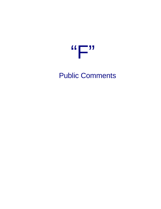

Public Comments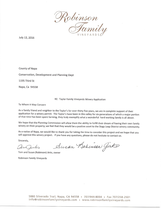

July 13, 2016

County of Napa Conservation, Development and Planning Dept 1195 Third St Napa, Ca 94558

RE: Taylor Family Vineyards Winery Application

To Whom It May Concern

As a family friend and neighbor to the Taylor's for over thirty five years, we are in complete support of their application for a winery permit. The Taylor's have been in this valley for six generations of which a major portion of that time has been spent farming, they truly exemplify what a wonderful hard working family is all about.

We hope that the Planning Commission will allow them the ability to fulfill their dream of having their own family winery on their property; we feel that they would be a positive asset to the Stags Leap District winery community.

As a native of Napa, we would like to thank you for taking the time to consider this project and we hope that you will approve this winery project. If you have any questions, please do not hesitate to contact us.

Sincerely,

Aucan Bohimeon Girls Tom Janks

Tom and Susan (Robinson) Jinks, owner

Robinson Family Vineyards